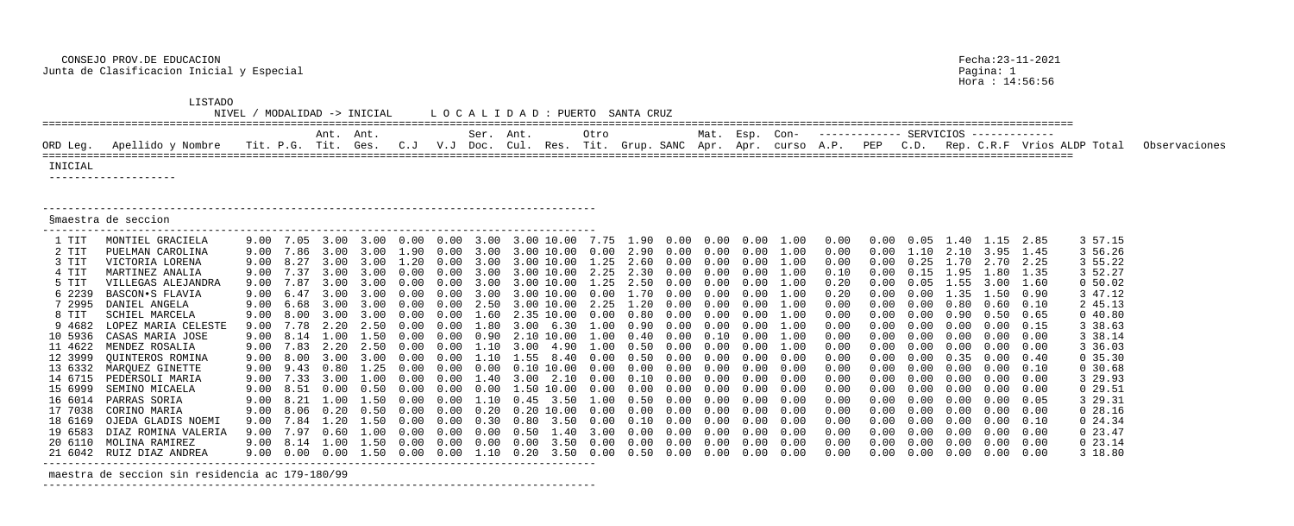CONSEJO PROV.DE EDUCACION Fecha:23-11-2021 Junta de Clasificacion Inicial y Especial Pagina: 1

|                                                                                                                                                                                                | <b>LISTADO</b><br>NIVEL                                                                                                                                                                                                                                                                                                                                                                                                            |                                                                                                                      |                                                                                                  |                                                                                                                      | / MODALIDAD -> INICIAL                                                                                                                                                                                                                        |                                      |                                            |                          | LOCALIDAD: PUERTO SANTA CRUZ                                                                                                                                                                                                                                                                                                                                                                                    |                                                                 |                                                                  |                                                            |                                                                                                            |                                                                                            |                                                                                                                                                              |                                                                                                                                                                      |                      |                                      |                                                                                                                                      |                                                                                                                                                                                                        |                                                                                                                                                              |                                                                                                                                                                                                                                              |               |
|------------------------------------------------------------------------------------------------------------------------------------------------------------------------------------------------|------------------------------------------------------------------------------------------------------------------------------------------------------------------------------------------------------------------------------------------------------------------------------------------------------------------------------------------------------------------------------------------------------------------------------------|----------------------------------------------------------------------------------------------------------------------|--------------------------------------------------------------------------------------------------|----------------------------------------------------------------------------------------------------------------------|-----------------------------------------------------------------------------------------------------------------------------------------------------------------------------------------------------------------------------------------------|--------------------------------------|--------------------------------------------|--------------------------|-----------------------------------------------------------------------------------------------------------------------------------------------------------------------------------------------------------------------------------------------------------------------------------------------------------------------------------------------------------------------------------------------------------------|-----------------------------------------------------------------|------------------------------------------------------------------|------------------------------------------------------------|------------------------------------------------------------------------------------------------------------|--------------------------------------------------------------------------------------------|--------------------------------------------------------------------------------------------------------------------------------------------------------------|----------------------------------------------------------------------------------------------------------------------------------------------------------------------|----------------------|--------------------------------------|--------------------------------------------------------------------------------------------------------------------------------------|--------------------------------------------------------------------------------------------------------------------------------------------------------------------------------------------------------|--------------------------------------------------------------------------------------------------------------------------------------------------------------|----------------------------------------------------------------------------------------------------------------------------------------------------------------------------------------------------------------------------------------------|---------------|
|                                                                                                                                                                                                |                                                                                                                                                                                                                                                                                                                                                                                                                                    | Ser. Ant.                                                                                                            |                                                                                                  | Otro                                                                                                                 |                                                                                                                                                                                                                                               |                                      | Mat. Esp.                                  |                          | Con-                                                                                                                                                                                                                                                                                                                                                                                                            |                                                                 | ------------ SERVICIOS -------------                             |                                                            |                                                                                                            |                                                                                            |                                                                                                                                                              |                                                                                                                                                                      |                      |                                      |                                                                                                                                      |                                                                                                                                                                                                        |                                                                                                                                                              |                                                                                                                                                                                                                                              |               |
| ORD Leg.                                                                                                                                                                                       | Apellido y Nombre                                                                                                                                                                                                                                                                                                                                                                                                                  |                                                                                                                      |                                                                                                  | Ant. Ant.<br>Tit. P.G. Tit. Ges.                                                                                     |                                                                                                                                                                                                                                               | C. J                                 |                                            |                          | V.J Doc. Cul. Res. Tit. Grup. SANC Apr. Apr. curso A.P.                                                                                                                                                                                                                                                                                                                                                         |                                                                 |                                                                  |                                                            |                                                                                                            |                                                                                            |                                                                                                                                                              |                                                                                                                                                                      | PEP                  | C.D.                                 |                                                                                                                                      |                                                                                                                                                                                                        |                                                                                                                                                              | Rep. C.R.F Vrios ALDP Total                                                                                                                                                                                                                  | Observaciones |
| INICIAL                                                                                                                                                                                        | ---------------------                                                                                                                                                                                                                                                                                                                                                                                                              |                                                                                                                      |                                                                                                  |                                                                                                                      |                                                                                                                                                                                                                                               |                                      |                                            |                          |                                                                                                                                                                                                                                                                                                                                                                                                                 |                                                                 |                                                                  |                                                            |                                                                                                            |                                                                                            |                                                                                                                                                              |                                                                                                                                                                      |                      |                                      |                                                                                                                                      |                                                                                                                                                                                                        |                                                                                                                                                              |                                                                                                                                                                                                                                              |               |
|                                                                                                                                                                                                | Smaestra de seccion                                                                                                                                                                                                                                                                                                                                                                                                                |                                                                                                                      |                                                                                                  |                                                                                                                      |                                                                                                                                                                                                                                               |                                      |                                            |                          |                                                                                                                                                                                                                                                                                                                                                                                                                 |                                                                 |                                                                  |                                                            |                                                                                                            |                                                                                            |                                                                                                                                                              |                                                                                                                                                                      |                      |                                      |                                                                                                                                      |                                                                                                                                                                                                        |                                                                                                                                                              |                                                                                                                                                                                                                                              |               |
| 1 TIT<br>2 TIT<br>3 TIT<br>4 TIT<br>5 TIT<br>6 2239<br>7 2995<br>8 TIT<br>9 4682<br>10 5936<br>11 4622<br>12 3999<br>13 6332<br>14 6715<br>15 6999<br>17 7038<br>18 6169<br>19 6583<br>20 6110 | MONTIEL GRACIELA<br>PUELMAN CAROLINA<br>VICTORIA LORENA<br>MARTINEZ ANALIA<br>VILLEGAS ALEJANDRA<br>BASCON.S FLAVIA<br>DANIEL ANGELA<br>SCHIEL MARCELA<br>LOPEZ MARIA CELESTE<br>CASAS MARIA JOSE<br>MENDEZ ROSALIA<br>QUINTEROS ROMINA<br>MARQUEZ GINETTE<br>PEDERSOLI MARIA<br>SEMINO MICAELA<br>16 6014 PARRAS SORIA<br>CORINO MARIA<br>OJEDA GLADIS NOEMI<br>DIAZ ROMINA VALERIA<br>MOLINA RAMIREZ<br>21 6042 RUIZ DIAZ ANDREA | 9.00<br>9.00<br>9.00<br>9.00<br>9.00<br>9.00<br>9.00<br>9.00<br>9.00<br>9.00<br>9.00<br>9.00<br>9.00<br>9.00<br>9.00 | 7.86<br>8.27<br>7.37<br>6.47<br>6.68<br>.78<br>8.14<br>7.83<br>8.00<br>9.43<br>7.33<br>9.00 8.51 | 7.05 3.00<br>3.00<br>3.00<br>3.00<br>3.00<br>2.20<br>$\bigcup$<br>$\mathcal{B}$ , $\mathcal{O}(\mathcal{C})$<br>0.00 | 3.00<br>3.00<br>3.00<br>$\left( \begin{array}{cc} -3 & 1 \end{array} \right)$<br>$\sim$ 3.00<br>$\prec$ $\cup$ $\cup$<br>$0\,.50$<br>9.00 8.21 1.00 1.50 0.00<br>8.06  0.20  0.50<br>9.00 8.14 1.00 1.50 0.00<br>9.00  0.00  0.00  1.50  0.00 | 0.00<br>$20^{\circ}$<br>0.00<br>0.00 | 0.00<br>0.00<br>0.00<br>$0\,.\,00$<br>0.00 | 3.00<br>0.00<br>$0\,.20$ | 3.00 10.00<br>$\left[10.00\right]$<br>10.00<br>$\prec$ ()()<br>10.00<br>$\Box$ () () () ()<br>- 30 L<br>1.50 10.00<br>$0.00$ 1.10 0.45 3.50 1.00 0.50<br>$0.20\;10.00\;$ $0.00$<br>9.00 7.84 1.20 1.50 0.00 0.00 0.30 0.80 3.50 0.00 0.10 0.00<br>9.00 7.97  0.60  1.00  0.00  0.00  0.00  0.50  1.40  3.00  0.00  0.00  0.00  0.00<br>$0.00$ $0.00$ $3.50$ $0.00$ $0.00$<br>1.10  0.20  3.50  0.00  0.50  0.00 | 7.75<br>1.25<br>2.25<br>$(1 \t11)$<br>2.25<br>(1)<br>$0\,.\,00$ | 1.90<br>2.90<br>2.60<br>2.30<br>.20<br>90<br>.50<br>0.00<br>0.00 | 0.00<br>0.00<br>$0.00\quad 0.00\quad 0.00$<br>0.00<br>0.00 | $0.00 \t 0.00 \t 0.00$<br>0.00<br>0.00<br>0.00<br>(0.00)<br>(0.00)<br>(1.00)<br>0.00<br>0.00<br>$0\,.\,00$ | 0.00<br>0.00<br>0.00<br>0.00<br>0.00<br>0.00<br>$0.00 \quad 0.00$<br>0.00<br>$0.00$ $0.00$ | 1.00<br>1.00<br>1.00<br>1.00<br>1.00<br>1.00<br>1.00<br>1.00<br>1.00<br>1.00<br>0.00<br>0.00<br>0.00<br>0.00<br>0.00<br>0.00<br>0.00<br>0.00<br>0.00<br>0.00 | 0.00<br>0.00<br>0.00<br>0.10<br>0.20<br>0.20<br>0.00<br>0.00<br>0.00<br>0.00<br>0.00<br>0.00<br>0.00<br>0.00<br>0.00<br>0.00<br>0.00<br>0.00<br>0.00<br>0.00<br>0.00 | 0.00<br>0.00<br>0.00 | 0.05<br>0.25<br>0.15<br>0.00<br>0.00 | 40<br>2.10<br>.70<br>.95<br>. 35<br>0.80<br>. 90.<br>$(1 \cdot 1)$<br>. 35<br>0.00<br>0.00<br>$0.00 \quad 0.00$<br>$0.00 \quad 0.00$ | 1.15<br>3.95<br>2.70<br>.80<br>.50<br>0.60<br>0.50<br>0.00<br>0.00<br>0.00<br>0.00<br>0.00<br>0.00<br>0.00<br>0.00<br>0.00<br>$0.00 \t 0.00 \t 0.00$<br>$0.00 \t 0.00 \t 0.00 \t 0.00$<br>0.00<br>0.00 | 2.85<br>1.45<br>2.25<br>1.35<br>1.60<br>0.90<br>0.10<br>0.65<br>0.15<br>0.00<br>0.00<br>0.40<br>0.10<br>0.00<br>0.00<br>0.05<br>0.00<br>0.10<br>0.00<br>0.00 | 3 57.15<br>3 56.26<br>3 55.22<br>3 52.27<br>0 50.02<br>3 47.12<br>2 45.13<br>040.80<br>3 38.63<br>3 38.14<br>3 36.03<br>0, 35.30<br>0, 30.68<br>3 29.93<br>029.51<br>3 29.31<br>0 28.16<br>$0\,24.34$<br>$0\,23.47$<br>$0\;23.14$<br>3 18.80 |               |
|                                                                                                                                                                                                | maestra de seccion sin residencia ac 179-180/99                                                                                                                                                                                                                                                                                                                                                                                    |                                                                                                                      |                                                                                                  |                                                                                                                      |                                                                                                                                                                                                                                               |                                      |                                            |                          |                                                                                                                                                                                                                                                                                                                                                                                                                 |                                                                 |                                                                  |                                                            |                                                                                                            |                                                                                            |                                                                                                                                                              |                                                                                                                                                                      |                      |                                      |                                                                                                                                      |                                                                                                                                                                                                        |                                                                                                                                                              |                                                                                                                                                                                                                                              |               |
|                                                                                                                                                                                                |                                                                                                                                                                                                                                                                                                                                                                                                                                    |                                                                                                                      |                                                                                                  |                                                                                                                      |                                                                                                                                                                                                                                               |                                      |                                            |                          |                                                                                                                                                                                                                                                                                                                                                                                                                 |                                                                 |                                                                  |                                                            |                                                                                                            |                                                                                            |                                                                                                                                                              |                                                                                                                                                                      |                      |                                      |                                                                                                                                      |                                                                                                                                                                                                        |                                                                                                                                                              |                                                                                                                                                                                                                                              |               |

Pagina: 1<br>Hora : 14:56:56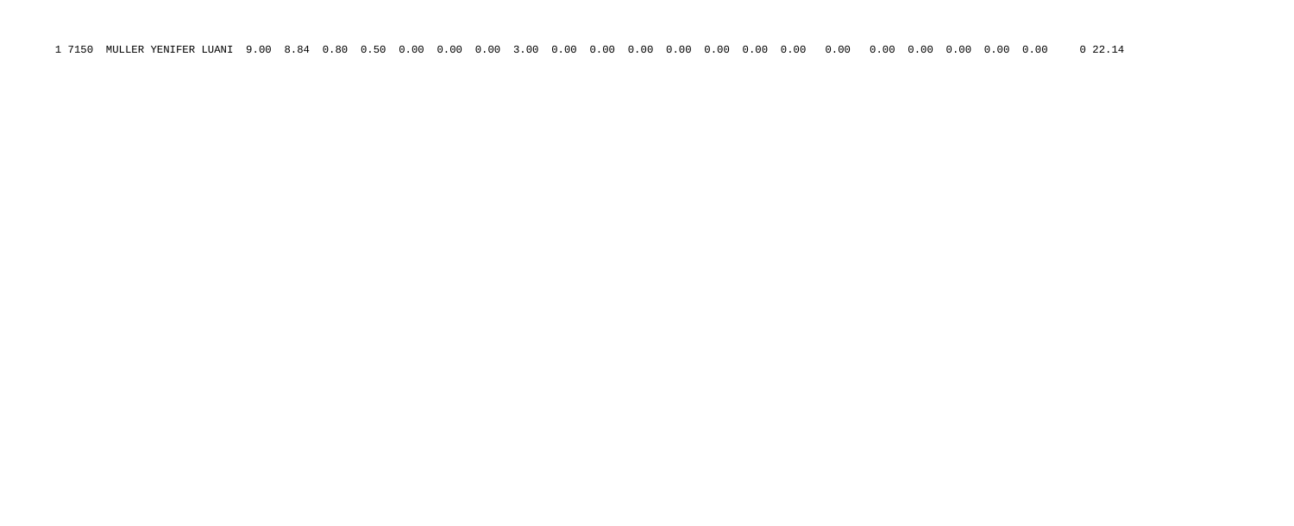1 7150 MULLER YENIFER LUANI 9.00 8.84 0.80 0.50 0.00 0.00 0.00 3.00 0.00 0.00 0.00 0.00 0.00 0.00 0.00 0.00 0.00 0.00 0.00 0.00 0.00 0 22.14